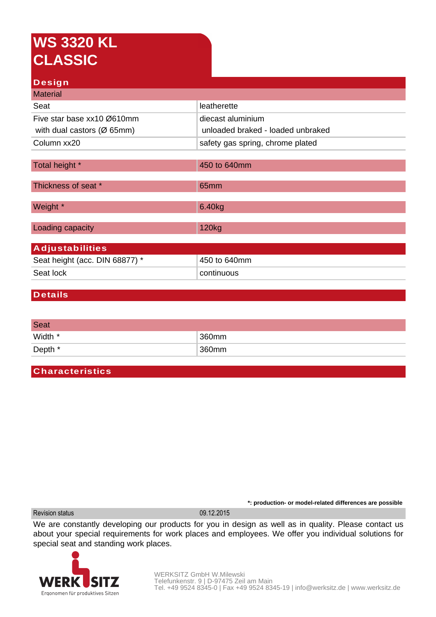# **WS 3320 KL CLASSIC**

### **Design**

| <b>Material</b>                         |                                   |  |
|-----------------------------------------|-----------------------------------|--|
| Seat                                    | leatherette                       |  |
| Five star base xx10 Ø610mm              | diecast aluminium                 |  |
| with dual castors ( $\varnothing$ 65mm) | unloaded braked - loaded unbraked |  |
| Column xx20                             | safety gas spring, chrome plated  |  |
|                                         |                                   |  |
| Total height *                          | 450 to 640mm                      |  |
|                                         |                                   |  |
| Thickness of seat *                     | 65mm                              |  |
| Weight *                                | 6.40kg                            |  |
| Loading capacity                        | 120 <sub>kg</sub>                 |  |
|                                         |                                   |  |
| <b>Adjustabilities</b>                  |                                   |  |
| Seat height (acc. DIN 68877) *          | 450 to 640mm                      |  |
| Seat lock                               | continuous                        |  |
|                                         |                                   |  |

#### **Details**

| <b>Seat</b> |       |
|-------------|-------|
| Width *     | 360mm |
| Depth *     | 360mm |

## **Characteristics**

Revision status 09.12.2015

We are constantly developing our products for you in design as well as in quality. Please contact us about your special requirements for work places and employees. We offer you individual solutions for special seat and standing work places.



**\*: production- or model-related differences are possible**